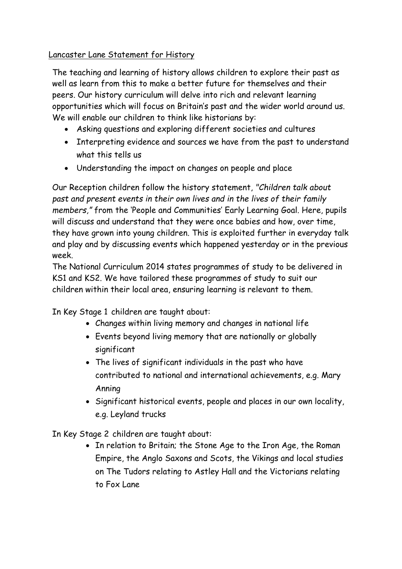Lancaster Lane Statement for History

The teaching and learning of history allows children to explore their past as well as learn from this to make a better future for themselves and their peers. Our history curriculum will delve into rich and relevant learning opportunities which will focus on Britain's past and the wider world around us. We will enable our children to think like historians by:

- Asking questions and exploring different societies and cultures
- Interpreting evidence and sources we have from the past to understand what this tells us
- Understanding the impact on changes on people and place

Our Reception children follow the history statement, *"Children talk about past and present events in their own lives and in the lives of their family members,"* from the 'People and Communities' Early Learning Goal. Here, pupils will discuss and understand that they were once babies and how, over time, they have grown into young children. This is exploited further in everyday talk and play and by discussing events which happened yesterday or in the previous week.

The National Curriculum 2014 states programmes of study to be delivered in KS1 and KS2. We have tailored these programmes of study to suit our children within their local area, ensuring learning is relevant to them.

In Key Stage 1 children are taught about:

- Changes within living memory and changes in national life
- Events beyond living memory that are nationally or globally significant
- The lives of significant individuals in the past who have contributed to national and international achievements, e.g. Mary Anning
- Significant historical events, people and places in our own locality, e.g. Leyland trucks

In Key Stage 2 children are taught about:

• In relation to Britain; the Stone Age to the Iron Age, the Roman Empire, the Anglo Saxons and Scots, the Vikings and local studies on The Tudors relating to Astley Hall and the Victorians relating to Fox Lane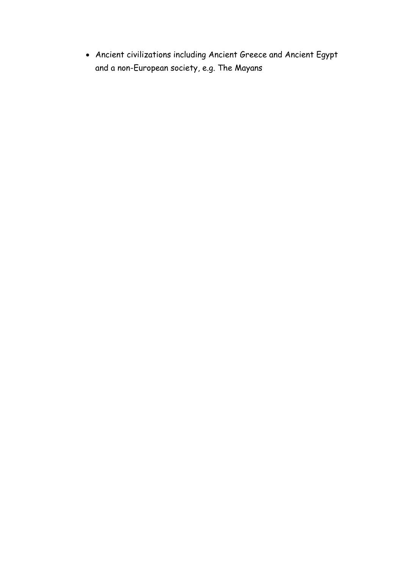Ancient civilizations including Ancient Greece and Ancient Egypt and a non-European society, e.g. The Mayans